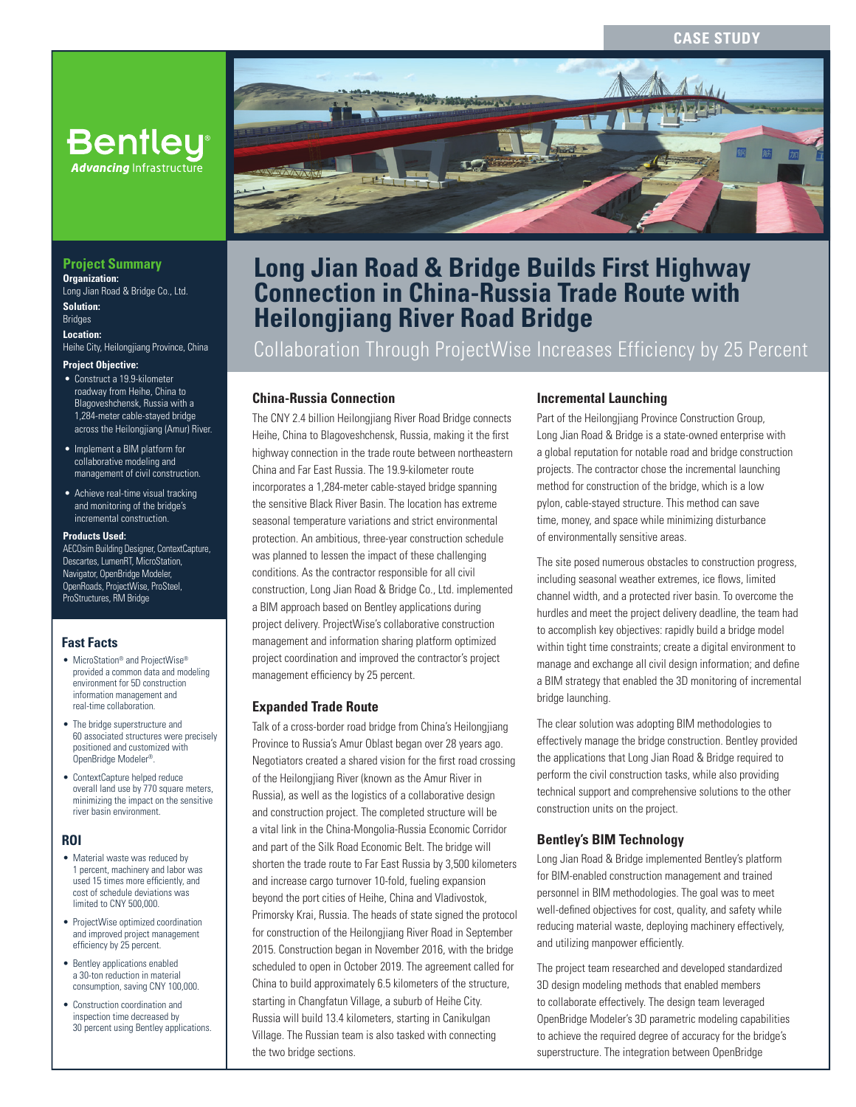# **CASE STUDY**



# **Long Jian Road & Bridge Builds First Highway Connection in China-Russia Trade Route with Heilongjiang River Road Bridge**

Collaboration Through ProjectWise Increases Efficiency by 25 Percent

## **China-Russia Connection**

The CNY 2.4 billion Heilongjiang River Road Bridge connects Heihe, China to Blagoveshchensk, Russia, making it the first highway connection in the trade route between northeastern China and Far East Russia. The 19.9-kilometer route incorporates a 1,284-meter cable-stayed bridge spanning the sensitive Black River Basin. The location has extreme seasonal temperature variations and strict environmental protection. An ambitious, three-year construction schedule was planned to lessen the impact of these challenging conditions. As the contractor responsible for all civil construction, Long Jian Road & Bridge Co., Ltd. implemented a BIM approach based on Bentley applications during project delivery. ProjectWise's collaborative construction management and information sharing platform optimized project coordination and improved the contractor's project management efficiency by 25 percent.

#### **Expanded Trade Route**

Talk of a cross-border road bridge from China's Heilongjiang Province to Russia's Amur Oblast began over 28 years ago. Negotiators created a shared vision for the first road crossing of the Heilongjiang River (known as the Amur River in Russia), as well as the logistics of a collaborative design and construction project. The completed structure will be a vital link in the China-Mongolia-Russia Economic Corridor and part of the Silk Road Economic Belt. The bridge will shorten the trade route to Far East Russia by 3,500 kilometers and increase cargo turnover 10-fold, fueling expansion beyond the port cities of Heihe, China and Vladivostok, Primorsky Krai, Russia. The heads of state signed the protocol for construction of the Heilongjiang River Road in September 2015. Construction began in November 2016, with the bridge scheduled to open in October 2019. The agreement called for China to build approximately 6.5 kilometers of the structure, starting in Changfatun Village, a suburb of Heihe City. Russia will build 13.4 kilometers, starting in Canikulgan Village. The Russian team is also tasked with connecting the two bridge sections.

## **Incremental Launching**

Part of the Heilongjiang Province Construction Group, Long Jian Road & Bridge is a state-owned enterprise with a global reputation for notable road and bridge construction projects. The contractor chose the incremental launching method for construction of the bridge, which is a low pylon, cable-stayed structure. This method can save time, money, and space while minimizing disturbance of environmentally sensitive areas.

The site posed numerous obstacles to construction progress, including seasonal weather extremes, ice flows, limited channel width, and a protected river basin. To overcome the hurdles and meet the project delivery deadline, the team had to accomplish key objectives: rapidly build a bridge model within tight time constraints; create a digital environment to manage and exchange all civil design information; and define a BIM strategy that enabled the 3D monitoring of incremental bridge launching.

The clear solution was adopting BIM methodologies to effectively manage the bridge construction. Bentley provided the applications that Long Jian Road & Bridge required to perform the civil construction tasks, while also providing technical support and comprehensive solutions to the other construction units on the project.

# **Bentley's BIM Technology**

Long Jian Road & Bridge implemented Bentley's platform for BIM-enabled construction management and trained personnel in BIM methodologies. The goal was to meet well-defined objectives for cost, quality, and safety while reducing material waste, deploying machinery effectively, and utilizing manpower efficiently.

The project team researched and developed standardized 3D design modeling methods that enabled members to collaborate effectively. The design team leveraged OpenBridge Modeler's 3D parametric modeling capabilities to achieve the required degree of accuracy for the bridge's superstructure. The integration between OpenBridge

# **Bentley Advancing Infrastructure**

#### **Project Summary Organization:**  Long Jian Road & Bridge Co., Ltd.

**Solution: Bridges** 

**Location:**  Heihe City, Heilongjiang Province, China

#### **Project Objective:**

- Construct a 19.9-kilometer roadway from Heihe, China to Blagoveshchensk, Russia with a 1,284-meter cable-stayed bridge across the Heilongjiang (Amur) River.
- Implement a BIM platform for collaborative modeling and management of civil construction.
- Achieve real-time visual tracking and monitoring of the bridge's incremental construction.

#### **Products Used:**

AECOsim Building Designer, ContextCapture, Descartes, LumenRT, MicroStation, Navigator, OpenBridge Modeler, OpenRoads, ProjectWise, ProSteel, ProStructures, RM Bridge

#### **Fast Facts**

- MicroStation® and ProjectWise® provided a common data and modeling environment for 5D construction information management and real-time collaboration.
- The bridge superstructure and 60 associated structures were precisely positioned and customized with OpenBridge Modeler®.
- ContextCapture helped reduce overall land use by 770 square meters, minimizing the impact on the sensitive river basin environment.

#### **ROI**

- Material waste was reduced by 1 percent, machinery and labor was used 15 times more efficiently, and cost of schedule deviations was limited to CNY 500,000.
- ProjectWise optimized coordination and improved project management efficiency by 25 percent.
- Bentley applications enabled a 30-ton reduction in material consumption, saving CNY 100,000.
- Construction coordination and inspection time decreased by 30 percent using Bentley applications.